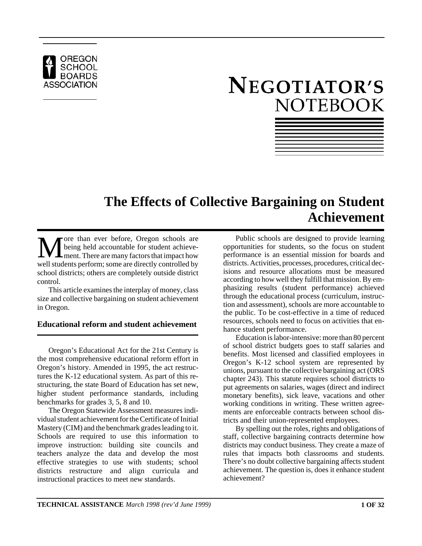

# NEGOTIATOR'S **NOTEBOOK**



# **The Effects of Collective Bargaining on Student Achievement**

rore than ever before, Oregon schools are being held accountable for student achievement. There are many factors that impact how well students perform; some are directly controlled by school districts; others are completely outside district control.

This article examines the interplay of money, class size and collective bargaining on student achievement in Oregon.

#### **Educational reform and student achievement**

Oregon's Educational Act for the 21st Century is the most comprehensive educational reform effort in Oregon's history. Amended in 1995, the act restructures the K-12 educational system. As part of this restructuring, the state Board of Education has set new, higher student performance standards, including benchmarks for grades 3, 5, 8 and 10.

The Oregon Statewide Assessment measures individual student achievement for the Certificate of Initial Mastery (CIM) and the benchmark grades leading to it. Schools are required to use this information to improve instruction: building site councils and teachers analyze the data and develop the most effective strategies to use with students; school districts restructure and align curricula and instructional practices to meet new standards.

Public schools are designed to provide learning opportunities for students, so the focus on student performance is an essential mission for boards and districts. Activities, processes, procedures, critical decisions and resource allocations must be measured according to how well they fulfill that mission. By emphasizing results (student performance) achieved through the educational process (curriculum, instruction and assessment), schools are more accountable to the public. To be cost-effective in a time of reduced resources, schools need to focus on activities that enhance student performance.

Education is labor-intensive: more than 80 percent of school district budgets goes to staff salaries and benefits. Most licensed and classified employees in Oregon's K-12 school system are represented by unions, pursuant to the collective bargaining act (ORS chapter 243). This statute requires school districts to put agreements on salaries, wages (direct and indirect monetary benefits), sick leave, vacations and other working conditions in writing. These written agreements are enforceable contracts between school districts and their union-represented employees.

By spelling out the roles, rights and obligations of staff, collective bargaining contracts determine how districts may conduct business. They create a maze of rules that impacts both classrooms and students. There's no doubt collective bargaining affects student achievement. The question is, does it enhance student achievement?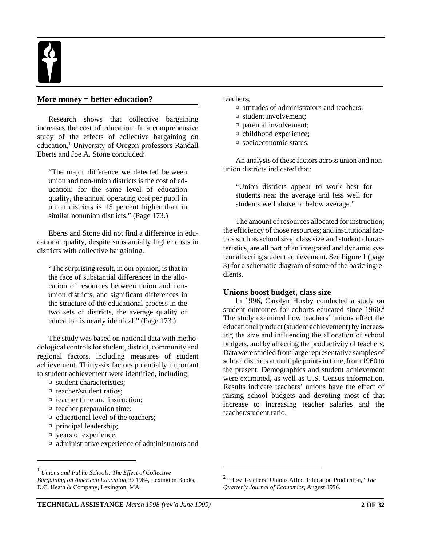#### **More money = better education?**

Research shows that collective bargaining increases the cost of education. In a comprehensive study of the effects of collective bargaining on education,<sup>1</sup> University of Oregon professors Randall Eberts and Joe A. Stone concluded:

"The major difference we detected between union and non-union districts is the cost of education: for the same level of education quality, the annual operating cost per pupil in union districts is 15 percent higher than in similar nonunion districts." (Page 173.)

Eberts and Stone did not find a difference in educational quality, despite substantially higher costs in districts with collective bargaining.

"The surprising result, in our opinion, is that in the face of substantial differences in the allocation of resources between union and nonunion districts, and significant differences in the structure of the educational process in the two sets of districts, the average quality of education is nearly identical." (Page 173.)

The study was based on national data with methodological controls for student, district, community and regional factors, including measures of student achievement. Thirty-six factors potentially important to student achievement were identified, including:

- $\Box$  student characteristics:
- $\Box$  teacher/student ratios:
- $\Box$  teacher time and instruction:
- $\Box$  teacher preparation time;
- $\Box$  educational level of the teachers;
- $\Box$  principal leadership;
- $\Box$  years of experience;
- $\Box$  administrative experience of administrators and

#### teachers;

- $\Box$  attitudes of administrators and teachers;
- $\Box$  student involvement:
- $\Box$  parental involvement;
- $\Box$  childhood experience;
- $\Box$  socioeconomic status.

An analysis of these factors across union and nonunion districts indicated that:

"Union districts appear to work best for students near the average and less well for students well above or below average."

The amount of resources allocated for instruction; the efficiency of those resources; and institutional factors such as school size, class size and student characteristics, are all part of an integrated and dynamic system affecting student achievement. See Figure 1 (page 3) for a schematic diagram of some of the basic ingredients.

#### **Unions boost budget, class size**

In 1996, Carolyn Hoxby conducted a study on student outcomes for cohorts educated since  $1960<sup>2</sup>$ The study examined how teachers' unions affect the educational product (student achievement) by increasing the size and influencing the allocation of school budgets, and by affecting the productivity of teachers. Data were studied from large representative samples of school districts at multiple points in time, from 1960 to the present. Demographics and student achievement were examined, as well as U.S. Census information. Results indicate teachers' unions have the effect of raising school budgets and devoting most of that increase to increasing teacher salaries and the teacher/student ratio.

<sup>1</sup> *Unions and Public Schools: The Effect of Collective Bargaining on American Education,* © 1984, Lexington Books, D.C. Heath & Company, Lexington, MA.

<sup>2</sup> "How Teachers' Unions Affect Education Production," *The Quarterly Journal of Economics,* August 1996.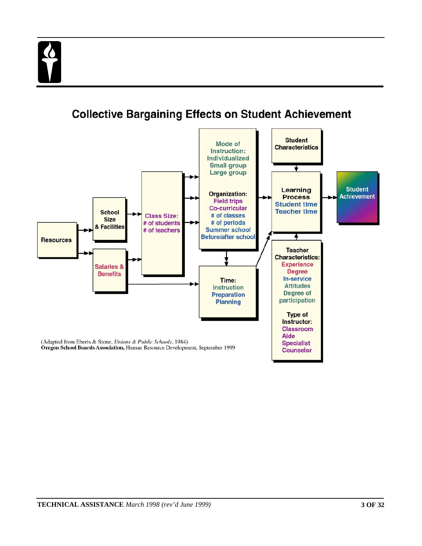# **Collective Bargaining Effects on Student Achievement**

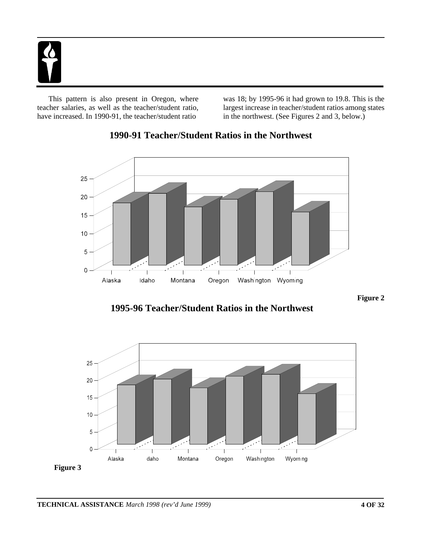This pattern is also present in Oregon, where teacher salaries, as well as the teacher/student ratio, have increased. In 1990-91, the teacher/student ratio

was 18; by 1995-96 it had grown to 19.8. This is the largest increase in teacher/student ratios among states in the northwest. (See Figures 2 and 3, below.)



# **1990-91 Teacher/Student Ratios in the Northwest**

**Figure 2**

 **1995-96 Teacher/Student Ratios in the Northwest**



**Figure 3**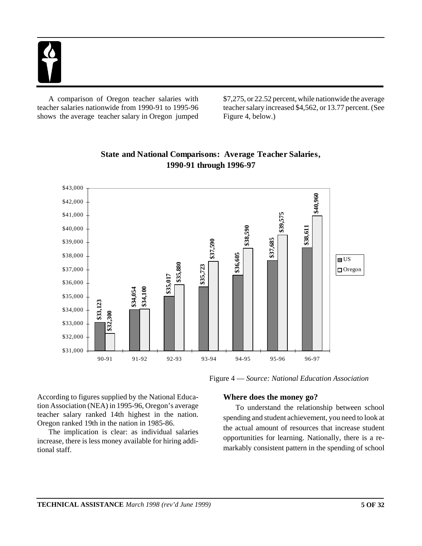A comparison of Oregon teacher salaries with teacher salaries nationwide from 1990-91 to 1995-96 shows the average teacher salary in Oregon jumped \$7,275, or 22.52 percent, while nationwide the average teacher salary increased \$4,562, or 13.77 percent. (See Figure 4, below.)



### **State and National Comparisons: Average Teacher Salaries, 1990-91 through 1996-97**

Figure 4 — *Source: National Education Association*

According to figures supplied by the National Education Association (NEA) in 1995-96, Oregon's average teacher salary ranked 14th highest in the nation. Oregon ranked 19th in the nation in 1985-86.

The implication is clear: as individual salaries increase, there is less money available for hiring additional staff.

#### **Where does the money go?**

To understand the relationship between school spending and student achievement, you need to look at the actual amount of resources that increase student opportunities for learning. Nationally, there is a remarkably consistent pattern in the spending of school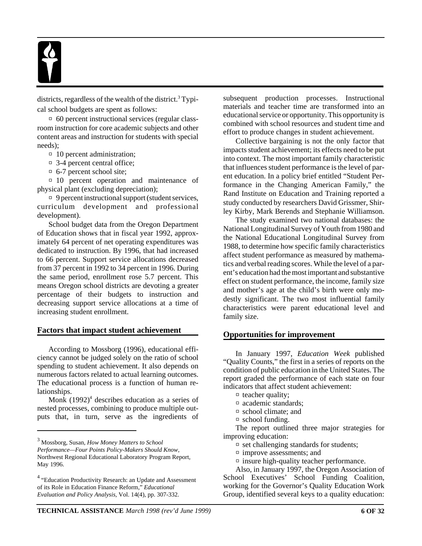

districts, regardless of the wealth of the district.<sup>3</sup> Typical school budgets are spent as follows:

 $\Box$  60 percent instructional services (regular classroom instruction for core academic subjects and other content areas and instruction for students with special needs);

 $\Box$  10 percent administration;

 $\Box$  3-4 percent central office;

 $\Box$  6-7 percent school site;

 $\Box$  10 percent operation and maintenance of physical plant (excluding depreciation);

 $\Box$  9 percent instructional support (student services, curriculum development and professional development).

School budget data from the Oregon Department of Education shows that in fiscal year 1992, approximately 64 percent of net operating expenditures was dedicated to instruction. By 1996, that had increased to 66 percent. Support service allocations decreased from 37 percent in 1992 to 34 percent in 1996. During the same period, enrollment rose 5.7 percent. This means Oregon school districts are devoting a greater percentage of their budgets to instruction and decreasing support service allocations at a time of increasing student enrollment.

#### **Factors that impact student achievement**

According to Mossborg (1996), educational efficiency cannot be judged solely on the ratio of school spending to student achievement. It also depends on numerous factors related to actual learning outcomes. The educational process is a function of human relationships.

Monk  $(1992)^4$  describes education as a series of nested processes, combining to produce multiple outputs that, in turn, serve as the ingredients of

3 Mossborg, Susan, *How Money Matters to School Performance—Four Points Policy-Makers Should Know,* Northwest Regional Educational Laboratory Program Report, May 1996.

subsequent production processes. Instructional materials and teacher time are transformed into an educational service or opportunity. This opportunity is combined with school resources and student time and effort to produce changes in student achievement.

Collective bargaining is not the only factor that impacts student achievement; its effects need to be put into context. The most important family characteristic that influences student performance is the level of parent education. In a policy brief entitled "Student Performance in the Changing American Family," the Rand Institute on Education and Training reported a study conducted by researchers David Grissmer, Shirley Kirby, Mark Berends and Stephanie Williamson.

The study examined two national databases: the National Longitudinal Survey of Youth from 1980 and the National Educational Longitudinal Survey from 1988, to determine how specific family characteristics affect student performance as measured by mathematics and verbal reading scores. While the level of a parent's education had the most important and substantive effect on student performance, the income, family size and mother's age at the child's birth were only modestly significant. The two most influential family characteristics were parent educational level and family size.

#### **Opportunities for improvement**

In January 1997, *Education Week* published "Quality Counts," the first in a series of reports on the condition of public education in the United States. The report graded the performance of each state on four indicators that affect student achievement:

- $\Box$  teacher quality;
- $\Box$  academic standards;
- $\Box$  school climate; and
- $\Box$  school funding.

The report outlined three major strategies for improving education:

 $\Box$  set challenging standards for students;

- $\Box$  improve assessments; and
- $\Box$  insure high-quality teacher performance.

Also, in January 1997, the Oregon Association of School Executives' School Funding Coalition, working for the Governor's Quality Education Work Group, identified several keys to a quality education:

<sup>&</sup>lt;sup>4</sup> "Education Productivity Research: an Update and Assessment of its Role in Education Finance Reform," *Educational Evaluation and Policy Analysis,* Vol. 14(4), pp. 307-332.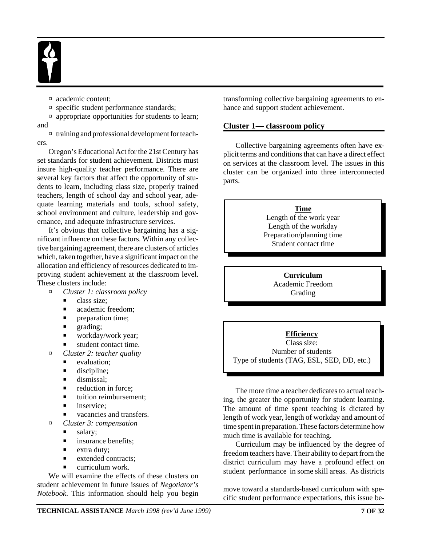

- $\Box$  academic content:
- $\Box$  specific student performance standards;

 $\Box$  appropriate opportunities for students to learn; and

 $\Box$  training and professional development for teachers.

Oregon's Educational Act for the 21st Century has set standards for student achievement. Districts must insure high-quality teacher performance. There are several key factors that affect the opportunity of students to learn, including class size, properly trained teachers, length of school day and school year, adequate learning materials and tools, school safety, school environment and culture, leadership and governance, and adequate infrastructure services.

It's obvious that collective bargaining has a significant influence on these factors. Within any collective bargaining agreement, there are clusters of articles which, taken together, have a significant impact on the allocation and efficiency of resources dedicated to improving student achievement at the classroom level. These clusters include:

- R *Cluster 1: classroom policy*
	- class size:
	- academic freedom:
	- **P** preparation time;
	- **q** grading;
	- $\blacksquare$  workday/work year;
	- student contact time.

R *Cluster 2: teacher quality*

- **P** evaluation:
- $\blacksquare$  discipline;
- $\blacksquare$  dismissal:
- $\blacksquare$  reduction in force:
- tuition reimbursement;
- $\blacksquare$  inservice:
- vacancies and transfers.
- R *Cluster 3: compensation*
	- salary;
	- **n** insurance benefits;
	- $\blacksquare$  extra duty;
	- **P** extended contracts:
	- curriculum work.

We will examine the effects of these clusters on student achievement in future issues of *Negotiator's Notebook*. This information should help you begin

transforming collective bargaining agreements to enhance and support student achievement.

#### **Cluster 1— classroom policy**

Collective bargaining agreements often have explicit terms and conditions that can have a direct effect on services at the classroom level. The issues in this cluster can be organized into three interconnected parts.

#### **Time**

Length of the work year Length of the workday Preparation/planning time Student contact time

> **Curriculum** Academic Freedom Grading

#### **Efficiency**

Class size: Number of students Type of students (TAG, ESL, SED, DD, etc.)

The more time a teacher dedicates to actual teaching, the greater the opportunity for student learning. The amount of time spent teaching is dictated by length of work year, length of workday and amount of time spent in preparation. These factors determine how much time is available for teaching.

Curriculum may be influenced by the degree of freedom teachers have. Their ability to depart from the district curriculum may have a profound effect on student performance in some skill areas. As districts

move toward a standards-based curriculum with specific student performance expectations, this issue be-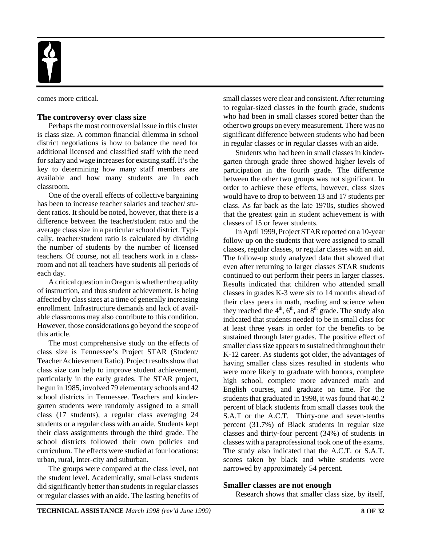

comes more critical.

#### **The controversy over class size**

Perhaps the most controversial issue in this cluster is class size. A common financial dilemma in school district negotiations is how to balance the need for additional licensed and classified staff with the need for salary and wage increases for existing staff. It's the key to determining how many staff members are available and how many students are in each classroom.

One of the overall effects of collective bargaining has been to increase teacher salaries and teacher/ student ratios. It should be noted, however, that there is a difference between the teacher/student ratio and the average class size in a particular school district. Typically, teacher/student ratio is calculated by dividing the number of students by the number of licensed teachers. Of course, not all teachers work in a classroom and not all teachers have students all periods of each day.

A critical question in Oregon is whether the quality of instruction, and thus student achievement, is being affected by class sizes at a time of generally increasing enrollment. Infrastructure demands and lack of available classrooms may also contribute to this condition. However, those considerations go beyond the scope of this article.

The most comprehensive study on the effects of class size is Tennessee's Project STAR (Student/ Teacher Achievement Ratio). Project results show that class size can help to improve student achievement, particularly in the early grades. The STAR project, begun in 1985, involved 79 elementary schools and 42 school districts in Tennessee. Teachers and kindergarten students were randomly assigned to a small class (17 students), a regular class averaging 24 students or a regular class with an aide. Students kept their class assignments through the third grade. The school districts followed their own policies and curriculum. The effects were studied at four locations: urban, rural, inter-city and suburban.

The groups were compared at the class level, not the student level. Academically, small-class students did significantly better than students in regular classes or regular classes with an aide. The lasting benefits of small classes were clear and consistent. After returning to regular-sized classes in the fourth grade, students who had been in small classes scored better than the other two groups on every measurement. There was no significant difference between students who had been in regular classes or in regular classes with an aide.

Students who had been in small classes in kindergarten through grade three showed higher levels of participation in the fourth grade. The difference between the other two groups was not significant. In order to achieve these effects, however, class sizes would have to drop to between 13 and 17 students per class. As far back as the late 1970s, studies showed that the greatest gain in student achievement is with classes of 15 or fewer students.

In April 1999, Project STAR reported on a 10-year follow-up on the students that were assigned to small classes, regular classes, or regular classes with an aid. The follow-up study analyzed data that showed that even after returning to larger classes STAR students continued to out perform their peers in larger classes. Results indicated that children who attended small classes in grades K-3 were six to 14 months ahead of their class peers in math, reading and science when they reached the  $4<sup>th</sup>$ ,  $6<sup>th</sup>$ , and  $8<sup>th</sup>$  grade. The study also indicated that students needed to be in small class for at least three years in order for the benefits to be sustained through later grades. The positive effect of smaller class size appears to sustained throughout their K-12 career. As students got older, the advantages of having smaller class sizes resulted in students who were more likely to graduate with honors, complete high school, complete more advanced math and English courses, and graduate on time. For the students that graduated in 1998, it was found that 40.2 percent of black students from small classes took the S.A.T or the A.C.T. Thirty-one and seven-tenths percent (31.7%) of Black students in regular size classes and thirty-four percent (34%) of students in classes with a paraprofessional took one of the exams. The study also indicated that the A.C.T. or S.A.T. scores taken by black and white students were narrowed by approximately 54 percent.

#### **Smaller classes are not enough**

Research shows that smaller class size, by itself,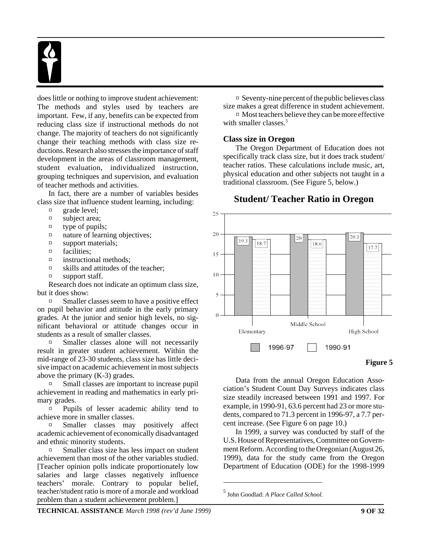

does little or nothing to improve student achievement: The methods and styles used by teachers are important. Few, if any, benefits can be expected from reducing class size if instructional methods do not change. The majority of teachers do not significantly change their teaching methods with class size reductions. Research also stresses the importance of staff development in the areas of classroom management, student evaluation, individualized instruction, grouping techniques and supervision, and evaluation of teacher methods and activities.

In fact, there are a number of variables besides class size that influence student learning, including:

- $\Box$  grade level;
- $\Box$  subject area;
- $\Box$  type of pupils;
- $\Box$  nature of learning objectives;
- $\Box$  support materials;
- $\Box$  facilities:
- $\Box$  instructional methods:
- $\Box$  skills and attitudes of the teacher:
- $\Box$  support staff.

Research does not indicate an optimum class size, but it does show:

 $\Box$  Smaller classes seem to have a positive effect on pupil behavior and attitude in the early primary grades. At the junior and senior high levels, no significant behavioral or attitude changes occur in students as a result of smaller classes.

 $\Box$  Smaller classes alone will not necessarily result in greater student achievement. Within the mid-range of 23-30 students, class size has little decisive impact on academic achievement in most subjects above the primary (K-3) grades.

 $\Box$  Small classes are important to increase pupil achievement in reading and mathematics in early primary grades.

 $\Box$  Pupils of lesser academic ability tend to achieve more in smaller classes.

In Smaller classes may positively affect academic achievement of economically disadvantaged and ethnic minority students.

 $\Box$  Smaller class size has less impact on student achievement than most of the other variables studied. [Teacher opinion polls indicate proportionately low salaries and large classes negatively influence teachers' morale. Contrary to popular belief, teacher/student ratio is more of a morale and workload problem than a student achievement problem.]

 $\Box$  Seventy-nine percent of the public believes class size makes a great difference in student achievement.

 $\Box$  Most teachers believe they can be more effective with smaller classes  $<sup>5</sup>$ </sup>

#### **Class size in Oregon**

The Oregon Department of Education does not specifically track class size, but it does track student/ teacher ratios. These calculations include music, art, physical education and other subjects not taught in a traditional classroom. (See Figure 5, below.)

# **Student/ Teacher Ratio in Oregon**



#### **Figure 5**

Data from the annual Oregon Education Association's Student Count Day Surveys indicates class size steadily increased between 1991 and 1997. For example, in 1990-91, 63.6 percent had 23 or more students, compared to 71.3 percent in 1996-97, a 7.7 percent increase. (See Figure 6 on page 10.)

In 1999, a survey was conducted by staff of the U.S. House of Representatives, Committee on Government Reform. According to the Oregonian (August 26, 1999), data for the study came from the Oregon Department of Education (ODE) for the 1998-1999

<sup>5</sup> John Goodlad: *A Place Called School.*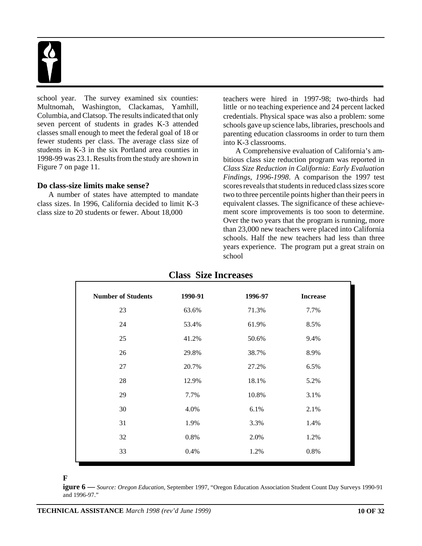

school year. The survey examined six counties: Multnomah, Washington, Clackamas, Yamhill, Columbia, and Clatsop. The results indicated that only seven percent of students in grades K-3 attended classes small enough to meet the federal goal of 18 or fewer students per class. The average class size of students in K-3 in the six Portland area counties in 1998-99 was 23.1. Results from the study are shown in Figure 7 on page 11.

#### **Do class-size limits make sense?**

A number of states have attempted to mandate class sizes. In 1996, California decided to limit K-3 class size to 20 students or fewer. About 18,000

teachers were hired in 1997-98; two-thirds had little or no teaching experience and 24 percent lacked credentials. Physical space was also a problem: some schools gave up science labs, libraries, preschools and parenting education classrooms in order to turn them into K-3 classrooms.

A Comprehensive evaluation of California's ambitious class size reduction program was reported in *Class Size Reduction in California: Early Evaluation Findings, 1996-1998*. A comparison the 1997 test scores reveals that students in reduced class sizes score two to three percentile points higher than their peers in equivalent classes. The significance of these achievement score improvements is too soon to determine. Over the two years that the program is running, more than 23,000 new teachers were placed into California schools. Half the new teachers had less than three years experience. The program put a great strain on school

| <b>Number of Students</b> | 1990-91 | 1996-97 | <b>Increase</b> |
|---------------------------|---------|---------|-----------------|
| 23                        | 63.6%   | 71.3%   | 7.7%            |
| 24                        | 53.4%   | 61.9%   | 8.5%            |
| 25                        | 41.2%   | 50.6%   | 9.4%            |
| 26                        | 29.8%   | 38.7%   | 8.9%            |
| 27                        | 20.7%   | 27.2%   | 6.5%            |
| 28                        | 12.9%   | 18.1%   | 5.2%            |
| 29                        | 7.7%    | 10.8%   | 3.1%            |
| 30                        | 4.0%    | 6.1%    | 2.1%            |
| 31                        | 1.9%    | 3.3%    | 1.4%            |
| 32                        | 0.8%    | 2.0%    | 1.2%            |
| 33                        | 0.4%    | 1.2%    | 0.8%            |
|                           |         |         |                 |

#### **Class Size Increases**

**F**

**igure 6 —** *Source: Oregon Education*, September 1997, "Oregon Education Association Student Count Day Surveys 1990-91 and 1996-97."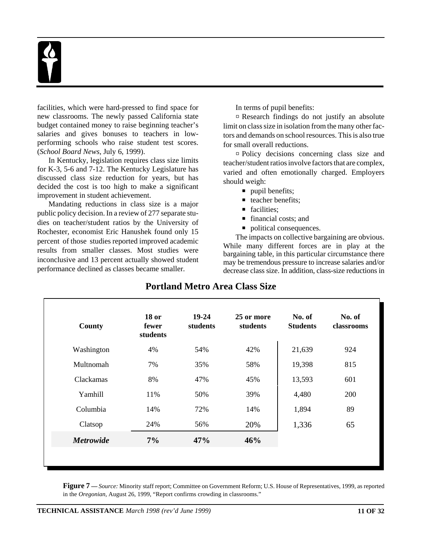facilities, which were hard-pressed to find space for new classrooms. The newly passed California state budget contained money to raise beginning teacher's salaries and gives bonuses to teachers in lowperforming schools who raise student test scores. (*School Board News*, July 6, 1999).

In Kentucky, legislation requires class size limits for K-3, 5-6 and 7-12. The Kentucky Legislature has discussed class size reduction for years, but has decided the cost is too high to make a significant improvement in student achievement.

Mandating reductions in class size is a major public policy decision. In a review of 277 separate studies on teacher/student ratios by the University of Rochester, economist Eric Hanushek found only 15 percent of those studies reported improved academic results from smaller classes. Most studies were inconclusive and 13 percent actually showed student performance declined as classes became smaller.

In terms of pupil benefits:

 $\Box$  Research findings do not justify an absolute limit on class size in isolation from the many other factors and demands on school resources. This is also true for small overall reductions.

 $\Box$  Policy decisions concerning class size and teacher/student ratios involve factors that are complex, varied and often emotionally charged. Employers should weigh:

- $\blacksquare$  pupil benefits;
- teacher benefits:
- **F** facilities:
- financial costs: and
- political consequences.

The impacts on collective bargaining are obvious. While many different forces are in play at the bargaining table, in this particular circumstance there may be tremendous pressure to increase salaries and/or decrease class size. In addition, class-size reductions in

| County           | <b>18 or</b><br>fewer<br>students | 19-24<br>students | 25 or more<br>students | No. of<br><b>Students</b> | No. of<br>classrooms |
|------------------|-----------------------------------|-------------------|------------------------|---------------------------|----------------------|
| Washington       | 4%                                | 54%               | 42%                    | 21,639                    | 924                  |
| Multnomah        | 7%                                | 35%               | 58%                    | 19,398                    | 815                  |
| Clackamas        | 8%                                | 47%               | 45%                    | 13,593                    | 601                  |
| Yamhill          | 11%                               | 50%               | 39%                    | 4,480                     | 200                  |
| Columbia         | 14%                               | 72%               | 14%                    | 1,894                     | 89                   |
| Clatsop          | 24%                               | 56%               | 20%                    | 1,336                     | 65                   |
| <b>Metrowide</b> | 7%                                | 47%               | 46%                    |                           |                      |

# **Portland Metro Area Class Size**

**Figure 7 —** *Source:* Minority staff report; Committee on Government Reform; U.S. House of Representatives, 1999, as reported in the *Oregonian*, August 26, 1999, "Report confirms crowding in classrooms."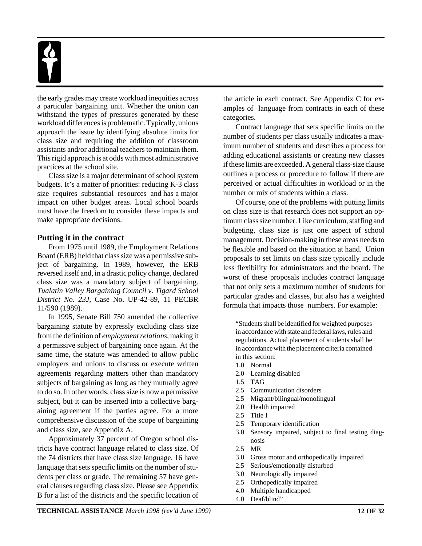

the early grades may create workload inequities across a particular bargaining unit. Whether the union can withstand the types of pressures generated by these workload differences is problematic. Typically, unions approach the issue by identifying absolute limits for class size and requiring the addition of classroom assistants and/or additional teachers to maintain them. This rigid approach is at odds with most administrative practices at the school site.

Class size is a major determinant of school system budgets. It's a matter of priorities: reducing K-3 class size requires substantial resources and has a major impact on other budget areas. Local school boards must have the freedom to consider these impacts and make appropriate decisions.

#### **Putting it in the contract**

From 1975 until 1989, the Employment Relations Board (ERB) held that class size was a permissive subject of bargaining. In 1989, however, the ERB reversed itself and, in a drastic policy change, declared class size was a mandatory subject of bargaining. *Tualatin Valley Bargaining Council v. Tigard School District No. 23J*, Case No. UP-42-89, 11 PECBR 11/590 (1989).

In 1995, Senate Bill 750 amended the collective bargaining statute by expressly excluding class size from the definition of *employment relations*, making it a permissive subject of bargaining once again. At the same time, the statute was amended to allow public employers and unions to discuss or execute written agreements regarding matters other than mandatory subjects of bargaining as long as they mutually agree to do so. In other words, class size is now a permissive subject, but it can be inserted into a collective bargaining agreement if the parties agree. For a more comprehensive discussion of the scope of bargaining and class size, see Appendix A.

Approximately 37 percent of Oregon school districts have contract language related to class size. Of the 74 districts that have class size language, 16 have language that sets specific limits on the number of students per class or grade. The remaining 57 have general clauses regarding class size. Please see Appendix B for a list of the districts and the specific location of the article in each contract. See Appendix C for examples of language from contracts in each of these categories.

Contract language that sets specific limits on the number of students per class usually indicates a maximum number of students and describes a process for adding educational assistants or creating new classes if these limits are exceeded. A general class-size clause outlines a process or procedure to follow if there are perceived or actual difficulties in workload or in the number or mix of students within a class.

Of course, one of the problems with putting limits on class size is that research does not support an optimum class size number. Like curriculum, staffing and budgeting, class size is just one aspect of school management. Decision-making in these areas needs to be flexible and based on the situation at hand. Union proposals to set limits on class size typically include less flexibility for administrators and the board. The worst of these proposals includes contract language that not only sets a maximum number of students for particular grades and classes, but also has a weighted formula that impacts those numbers. For example:

"Students shall be identified for weighted purposes in accordance with state and federal laws, rules and regulations. Actual placement of students shall be in accordance with the placement criteria contained in this section:

- 1.0 Normal
- 2.0 Learning disabled
- 1.5 TAG
- 2.5 Communication disorders
- 2.5 Migrant/bilingual/monolingual
- 2.0 Health impaired
- 2.5 Title I
- 2.5 Temporary identification
- 3.0 Sensory impaired, subject to final testing diagnosis
- 2.5 MR
- 3.0 Gross motor and orthopedically impaired
- 2.5 Serious/emotionally disturbed
- 3.0 Neurologically impaired
- 2.5 Orthopedically impaired
- 4.0 Multiple handicapped 4.0 Deaf/blind"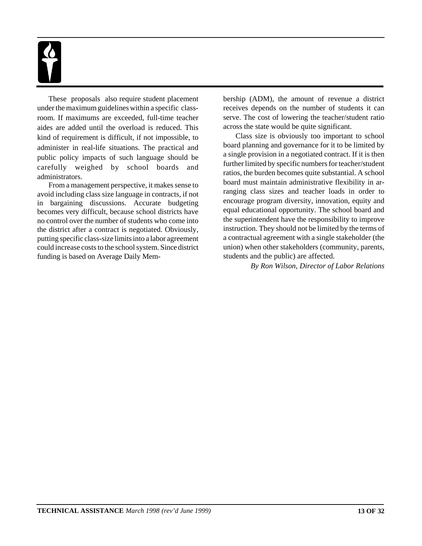

These proposals also require student placement under the maximum guidelines within a specific classroom. If maximums are exceeded, full-time teacher aides are added until the overload is reduced. This kind of requirement is difficult, if not impossible, to administer in real-life situations. The practical and public policy impacts of such language should be carefully weighed by school boards and administrators.

From a management perspective, it makes sense to avoid including class size language in contracts, if not in bargaining discussions. Accurate budgeting becomes very difficult, because school districts have no control over the number of students who come into the district after a contract is negotiated. Obviously, putting specific class-size limits into a labor agreement could increase costs to the school system. Since district funding is based on Average Daily Membership (ADM), the amount of revenue a district receives depends on the number of students it can serve. The cost of lowering the teacher/student ratio across the state would be quite significant.

Class size is obviously too important to school board planning and governance for it to be limited by a single provision in a negotiated contract. If it is then further limited by specific numbers for teacher/student ratios, the burden becomes quite substantial. A school board must maintain administrative flexibility in arranging class sizes and teacher loads in order to encourage program diversity, innovation, equity and equal educational opportunity. The school board and the superintendent have the responsibility to improve instruction. They should not be limited by the terms of a contractual agreement with a single stakeholder (the union) when other stakeholders (community, parents, students and the public) are affected.

*By Ron Wilson, Director of Labor Relations*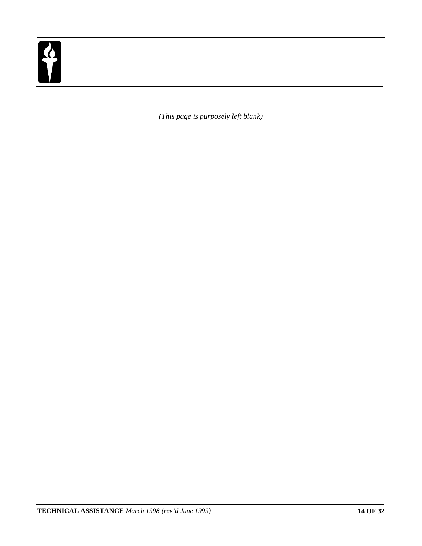

*(This page is purposely left blank)*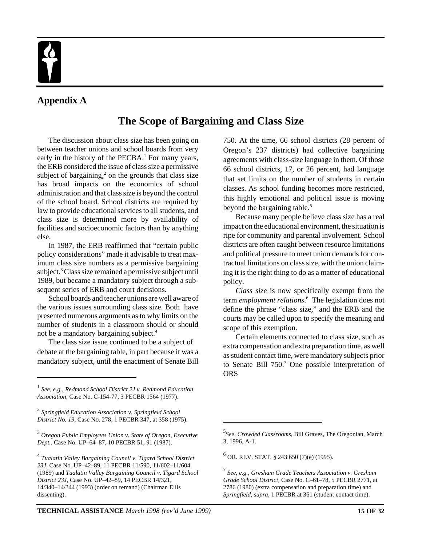

# **Appendix A**

# **The Scope of Bargaining and Class Size**

The discussion about class size has been going on between teacher unions and school boards from very early in the history of the PECBA.<sup>1</sup> For many years, the ERB considered the issue of class size a permissive subject of bargaining, $2$  on the grounds that class size has broad impacts on the economics of school administration and that class size is beyond the control of the school board. School districts are required by law to provide educational services to all students, and class size is determined more by availability of facilities and socioeconomic factors than by anything else.

In 1987, the ERB reaffirmed that "certain public policy considerations" made it advisable to treat maximum class size numbers as a permissive bargaining subject.<sup>3</sup> Class size remained a permissive subject until 1989, but became a mandatory subject through a subsequent series of ERB and court decisions.

School boards and teacher unions are well aware of the various issues surrounding class size. Both have presented numerous arguments as to why limits on the number of students in a classroom should or should not be a mandatory bargaining subject.<sup>4</sup>

The class size issue continued to be a subject of debate at the bargaining table, in part because it was a mandatory subject, until the enactment of Senate Bill 750. At the time, 66 school districts (28 percent of Oregon's 237 districts) had collective bargaining agreements with class-size language in them. Of those 66 school districts, 17, or 26 percent, had language that set limits on the number of students in certain classes. As school funding becomes more restricted, this highly emotional and political issue is moving beyond the bargaining table.<sup>5</sup>

Because many people believe class size has a real impact on the educational environment, the situation is ripe for community and parental involvement. School districts are often caught between resource limitations and political pressure to meet union demands for contractual limitations on class size, with the union claiming it is the right thing to do as a matter of educational policy.

*Class size* is now specifically exempt from the term *employment relations*. 6 The legislation does not define the phrase "class size," and the ERB and the courts may be called upon to specify the meaning and scope of this exemption.

Certain elements connected to class size, such as extra compensation and extra preparation time, as well as student contact time, were mandatory subjects prior to Senate Bill  $750$ .<sup>7</sup> One possible interpretation of **ORS** 

<sup>1</sup>  *See, e.g., Redmond School District 2J v. Redmond Education Association,* Case No. C-154-77, 3 PECBR 1564 (1977).

<sup>2</sup>  *Springfield Education Association v. Springfield School District No. 19,* Case No. 278, 1 PECBR 347, at 358 (1975).

<sup>3</sup>  *Oregon Public Employees Union v. State of Oregon, Executive Dept.,* Case No. UP–64–87, 10 PECBR 51, 91 (1987).

<sup>4</sup>  *Tualatin Valley Bargaining Council v. Tigard School District 23J,* Case No. UP–42–89, 11 PECBR 11/590, 11/602–11/604 (1989) and *Tualatin Valley Bargaining Council v. Tigard School District 23J,* Case No. UP–42–89, 14 PECBR 14/321, 14/340–14/344 (1993) (order on remand) (Chairman Ellis dissenting).

<sup>5</sup> *See, Crowded Classrooms,* Bill Graves, The Oregonian, March 3, 1996, A-1.

 $^{6}$  OR. REV. STAT. § 243.650 (7)(e) (1995).

<sup>7</sup>  *See, e.g., Gresham Grade Teachers Association v. Gresham Grade School District,* Case No. C–61–78, 5 PECBR 2771, at 2786 (1980) (extra compensation and preparation time) and *Springfield, supra,* 1 PECBR at 361 (student contact time).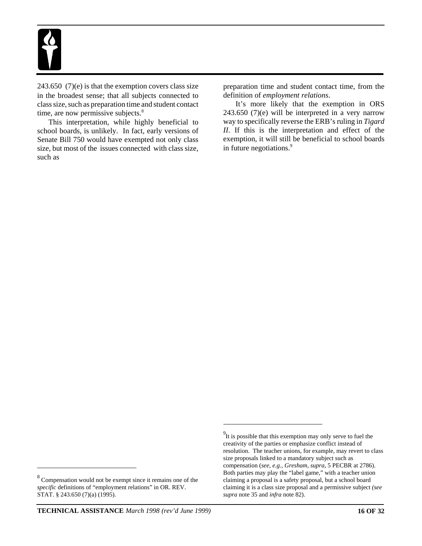

243.650  $(7)(e)$  is that the exemption covers class size in the broadest sense; that all subjects connected to class size, such as preparation time and student contact time, are now permissive subjects.<sup>8</sup>

This interpretation, while highly beneficial to school boards, is unlikely. In fact, early versions of Senate Bill 750 would have exempted not only class size, but most of the issues connected with class size, such as

preparation time and student contact time, from the definition of *employment relations*.

It's more likely that the exemption in ORS 243.650 (7)(e) will be interpreted in a very narrow way to specifically reverse the ERB's ruling in *Tigard II*. If this is the interpretation and effect of the exemption, it will still be beneficial to school boards in future negotiations.<sup>9</sup>

<sup>&</sup>lt;sup>8</sup> Compensation would not be exempt since it remains one of the *specific* definitions of "employment relations" in OR. REV. STAT. § 243.650 (7)(a) (1995).

 $9$ It is possible that this exemption may only serve to fuel the creativity of the parties or emphasize conflict instead of resolution. The teacher unions, for example, may revert to class size proposals linked to a mandatory subject such as compensation (*see, e.g., Gresham, supra,* 5 PECBR at 2786). Both parties may play the "label game," with a teacher union claiming a proposal is a safety proposal, but a school board claiming it is a class size proposal and a permissive subject *(see supra* note 35 and *infra* note 82).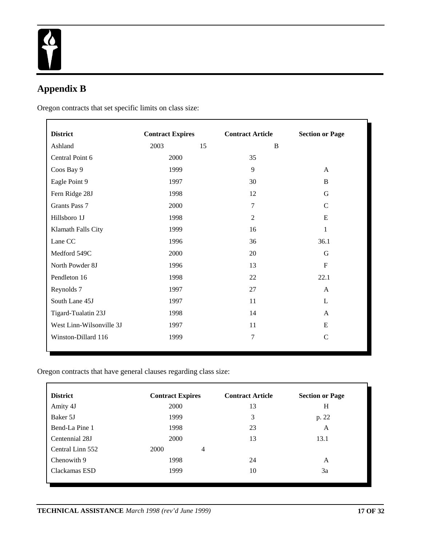

# **Appendix B**

Oregon contracts that set specific limits on class size:

| <b>District</b>          | <b>Contract Expires</b> |    | <b>Contract Article</b> | <b>Section or Page</b> |
|--------------------------|-------------------------|----|-------------------------|------------------------|
| Ashland                  | 2003                    | 15 | B                       |                        |
| Central Point 6          | 2000                    |    | 35                      |                        |
| Coos Bay 9               | 1999                    |    | 9                       | A                      |
| Eagle Point 9            | 1997                    |    | 30                      | B                      |
| Fern Ridge 28J           | 1998                    |    | 12                      | G                      |
| Grants Pass 7            | 2000                    |    | $\tau$                  | $\mathcal{C}$          |
| Hillsboro 1J             | 1998                    |    | $\overline{2}$          | E                      |
| Klamath Falls City       | 1999                    |    | 16                      | $\mathbf{1}$           |
| Lane CC                  | 1996                    |    | 36                      | 36.1                   |
| Medford 549C             | 2000                    |    | 20                      | G                      |
| North Powder 8J          | 1996                    |    | 13                      | $\mathbf{F}$           |
| Pendleton 16             | 1998                    |    | 22                      | 22.1                   |
| Reynolds 7               | 1997                    |    | 27                      | $\mathbf{A}$           |
| South Lane 45J           | 1997                    |    | 11                      | L                      |
| Tigard-Tualatin 23J      | 1998                    |    | 14                      | A                      |
| West Linn-Wilsonville 3J | 1997                    |    | 11                      | E                      |
| Winston-Dillard 116      | 1999                    |    | 7                       | $\mathbf C$            |
|                          |                         |    |                         |                        |

Oregon contracts that have general clauses regarding class size:

| <b>District</b>  | <b>Contract Expires</b> | <b>Contract Article</b> | <b>Section or Page</b> |
|------------------|-------------------------|-------------------------|------------------------|
| Amity 4J         | 2000                    | 13                      | H                      |
| Baker 5J         | 1999                    | 3                       | p. 22                  |
| Bend-La Pine 1   | 1998                    | 23                      | A                      |
| Centennial 28J   | 2000                    | 13                      | 13.1                   |
| Central Linn 552 | 2000                    | 4                       |                        |
| Chenowith 9      | 1998                    | 24                      | A                      |
| Clackamas ESD    | 1999                    | 10                      | 3a                     |
|                  |                         |                         |                        |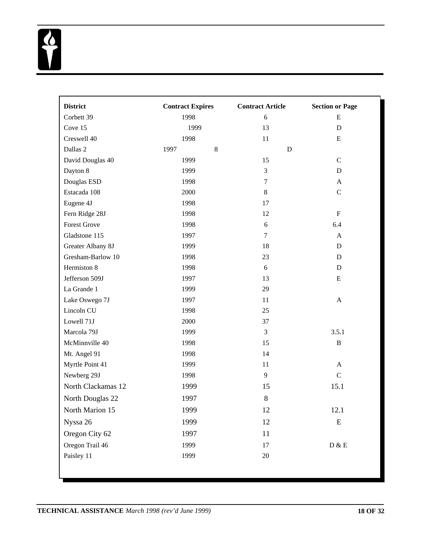

| <b>District</b>     | <b>Contract Expires</b> | <b>Contract Article</b> | <b>Section or Page</b> |
|---------------------|-------------------------|-------------------------|------------------------|
| Corbett 39          | 1998                    | 6                       | ${\bf E}$              |
| Cove 15             | 1999                    | 13                      | ${\bf D}$              |
| Creswell 40         | 1998                    | 11                      | ${\bf E}$              |
| Dallas <sub>2</sub> | 1997                    | $\,8\,$<br>$\mathbf D$  |                        |
| David Douglas 40    | 1999                    | 15                      | $\mathcal{C}$          |
| Dayton 8            | 1999                    | $\mathfrak{Z}$          | D                      |
| Douglas ESD         | 1998                    | $\tau$                  | A                      |
| Estacada 108        | 2000                    | $\,8\,$                 | $\mathsf{C}$           |
| Eugene 4J           | 1998                    | 17                      |                        |
| Fern Ridge 28J      | 1998                    | 12                      | ${\bf F}$              |
| <b>Forest Grove</b> | 1998                    | $6\,$                   | 6.4                    |
| Gladstone 115       | 1997                    | $\tau$                  | $\mathbf{A}$           |
| Greater Albany 8J   | 1999                    | 18                      | D                      |
| Gresham-Barlow 10   | 1998                    | 23                      | D                      |
| Hermiston 8         | 1998                    | 6                       | ${\bf D}$              |
| Jefferson 509J      | 1997                    | 13                      | E                      |
| La Grande 1         | 1999                    | 29                      |                        |
| Lake Oswego 7J      | 1997                    | 11                      | $\mathbf{A}$           |
| Lincoln CU          | 1998                    | 25                      |                        |
| Lowell 71J          | 2000                    | 37                      |                        |
| Marcola 79J         | 1999                    | $\mathfrak{Z}$          | 3.5.1                  |
| McMinnville 40      | 1998                    | 15                      | $\, {\bf B}$           |
| Mt. Angel 91        | 1998                    | 14                      |                        |
| Myrtle Point 41     | 1999                    | $11\,$                  | A                      |
| Newberg 29J         | 1998                    | $\mathbf{9}$            | $\mathbf C$            |
| North Clackamas 12  | 1999                    | 15                      | 15.1                   |
| North Douglas 22    | 1997                    | $8\,$                   |                        |
| North Marion 15     | 1999                    | 12                      | 12.1                   |
| Nyssa 26            | 1999                    | 12                      | ${\bf E}$              |
| Oregon City 62      | 1997                    | 11                      |                        |
| Oregon Trail 46     | 1999                    | 17                      | $\rm D$ & $\rm E$      |
| Paisley 11          | 1999                    | $20\,$                  |                        |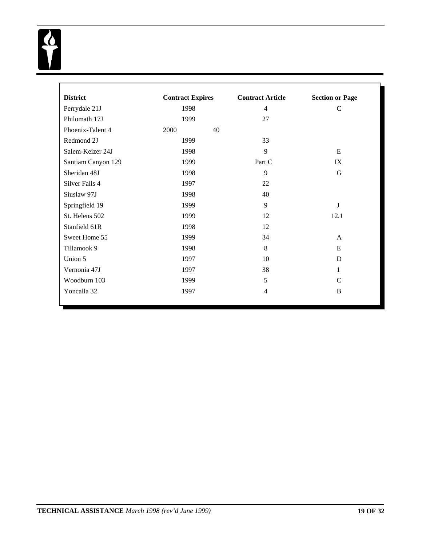

| <b>District</b>    | <b>Contract Expires</b> | <b>Contract Article</b> | <b>Section or Page</b> |
|--------------------|-------------------------|-------------------------|------------------------|
| Perrydale 21J      | 1998                    | 4                       | $\mathcal{C}$          |
| Philomath 17J      | 1999                    | 27                      |                        |
| Phoenix-Talent 4   | 2000                    | 40                      |                        |
| Redmond 2J         | 1999                    | 33                      |                        |
| Salem-Keizer 24J   | 1998                    | 9                       | E                      |
| Santiam Canyon 129 | 1999                    | Part C                  | IX                     |
| Sheridan 48J       | 1998                    | 9                       | G                      |
| Silver Falls 4     | 1997                    | 22                      |                        |
| Siuslaw 97J        | 1998                    | 40                      |                        |
| Springfield 19     | 1999                    | 9                       | J                      |
| St. Helens 502     | 1999                    | 12                      | 12.1                   |
| Stanfield 61R      | 1998                    | 12                      |                        |
| Sweet Home 55      | 1999                    | 34                      | A                      |
| Tillamook 9        | 1998                    | 8                       | E                      |
| Union 5            | 1997                    | 10                      | D                      |
| Vernonia 47J       | 1997                    | 38                      | 1                      |
| Woodburn 103       | 1999                    | 5                       | $\mathcal{C}$          |
| Yoncalla 32        | 1997                    | $\overline{4}$          | B                      |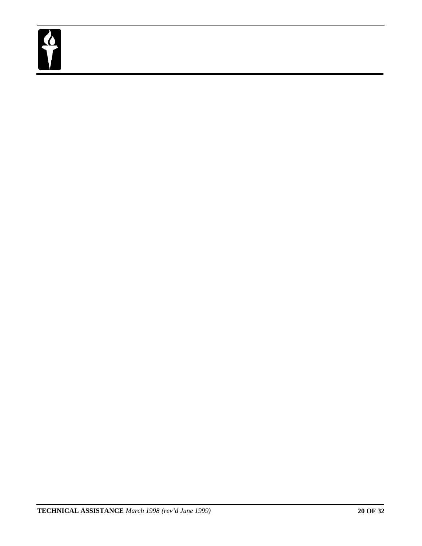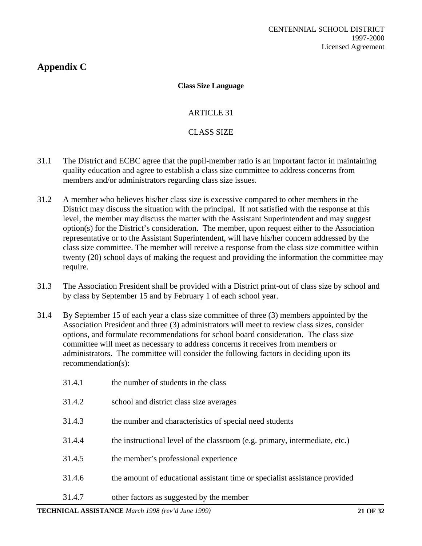# **Appendix C**

#### **Class Size Language**

#### ARTICLE 31

#### CLASS SIZE

- 31.1 The District and ECBC agree that the pupil-member ratio is an important factor in maintaining quality education and agree to establish a class size committee to address concerns from members and/or administrators regarding class size issues.
- 31.2 A member who believes his/her class size is excessive compared to other members in the District may discuss the situation with the principal. If not satisfied with the response at this level, the member may discuss the matter with the Assistant Superintendent and may suggest option(s) for the District's consideration. The member, upon request either to the Association representative or to the Assistant Superintendent, will have his/her concern addressed by the class size committee. The member will receive a response from the class size committee within twenty (20) school days of making the request and providing the information the committee may require.
- 31.3 The Association President shall be provided with a District print-out of class size by school and by class by September 15 and by February 1 of each school year.
- 31.4 By September 15 of each year a class size committee of three (3) members appointed by the Association President and three (3) administrators will meet to review class sizes, consider options, and formulate recommendations for school board consideration. The class size committee will meet as necessary to address concerns it receives from members or administrators. The committee will consider the following factors in deciding upon its recommendation(s):

| 31.4.1 | the number of students in the class                                         |
|--------|-----------------------------------------------------------------------------|
| 31.4.2 | school and district class size averages                                     |
| 31.4.3 | the number and characteristics of special need students                     |
| 31.4.4 | the instructional level of the classroom (e.g. primary, intermediate, etc.) |
| 31.4.5 | the member's professional experience                                        |
| 31.4.6 | the amount of educational assistant time or specialist assistance provided  |
| 31.4.7 | other factors as suggested by the member                                    |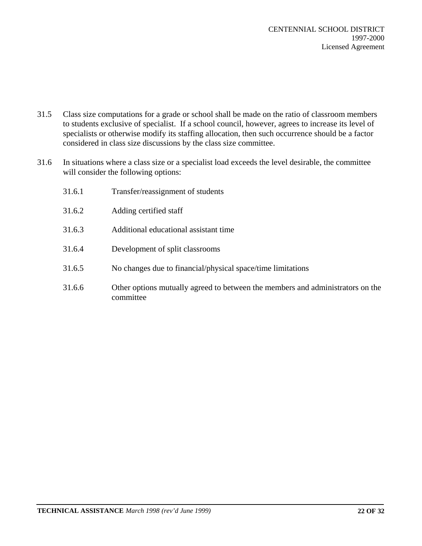- 31.5 Class size computations for a grade or school shall be made on the ratio of classroom members to students exclusive of specialist. If a school council, however, agrees to increase its level of specialists or otherwise modify its staffing allocation, then such occurrence should be a factor considered in class size discussions by the class size committee.
- 31.6 In situations where a class size or a specialist load exceeds the level desirable, the committee will consider the following options:

| 31.6.1 | Transfer/reassignment of students                                                           |
|--------|---------------------------------------------------------------------------------------------|
| 31.6.2 | Adding certified staff                                                                      |
| 31.6.3 | Additional educational assistant time                                                       |
| 31.6.4 | Development of split classrooms                                                             |
| 31.6.5 | No changes due to financial/physical space/time limitations                                 |
| 31.6.6 | Other options mutually agreed to between the members and administrators on the<br>committee |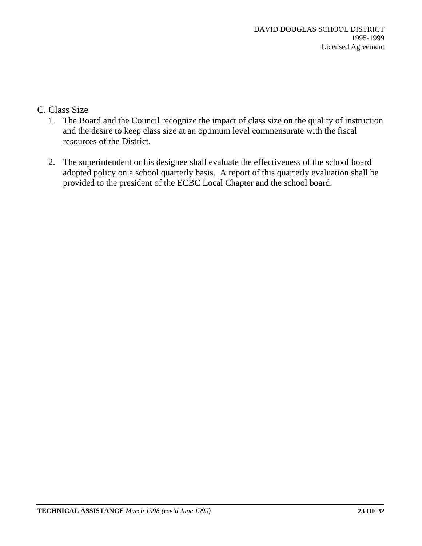# C. Class Size

- 1. The Board and the Council recognize the impact of class size on the quality of instruction and the desire to keep class size at an optimum level commensurate with the fiscal resources of the District.
- 2. The superintendent or his designee shall evaluate the effectiveness of the school board adopted policy on a school quarterly basis. A report of this quarterly evaluation shall be provided to the president of the ECBC Local Chapter and the school board.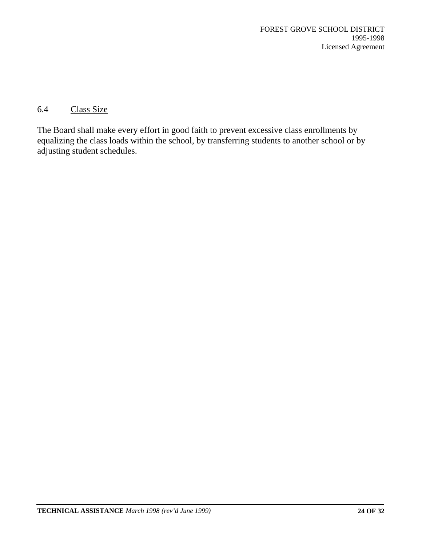# 6.4 Class Size

The Board shall make every effort in good faith to prevent excessive class enrollments by equalizing the class loads within the school, by transferring students to another school or by adjusting student schedules.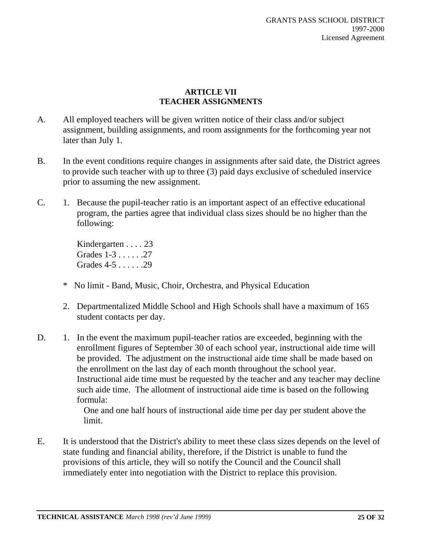### **ARTICLE VII TEACHER ASSIGNMENTS**

- A. All employed teachers will be given written notice of their class and/or subject assignment, building assignments, and room assignments for the forthcoming year not later than July 1.
- B. In the event conditions require changes in assignments after said date, the District agrees to provide such teacher with up to three (3) paid days exclusive of scheduled inservice prior to assuming the new assignment.
- C. 1. Because the pupil-teacher ratio is an important aspect of an effective educational program, the parties agree that individual class sizes should be no higher than the following:

Kindergarten . . . . 23 Grades 1-3 . . . . . .27 Grades 4-5 . . . . . .29

- \* No limit Band, Music, Choir, Orchestra, and Physical Education
- 2. Departmentalized Middle School and High Schools shall have a maximum of 165 student contacts per day.
- D. 1. In the event the maximum pupil-teacher ratios are exceeded, beginning with the enrollment figures of September 30 of each school year, instructional aide time will be provided. The adjustment on the instructional aide time shall be made based on the enrollment on the last day of each month throughout the school year. Instructional aide time must be requested by the teacher and any teacher may decline such aide time. The allotment of instructional aide time is based on the following formula:

One and one half hours of instructional aide time per day per student above the limit.

E. It is understood that the District's ability to meet these class sizes depends on the level of state funding and financial ability, therefore, if the District is unable to fund the provisions of this article, they will so notify the Council and the Council shall immediately enter into negotiation with the District to replace this provision.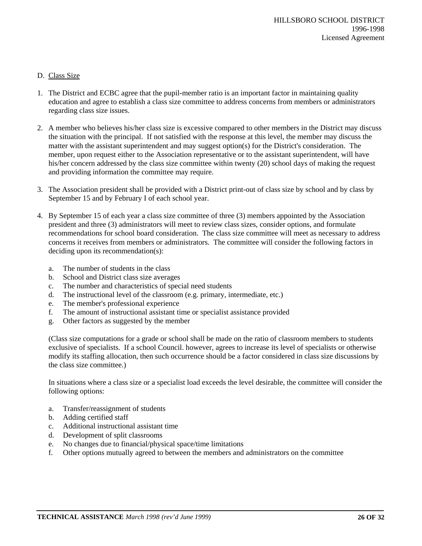#### D. Class Size

- 1. The District and ECBC agree that the pupil-member ratio is an important factor in maintaining quality education and agree to establish a class size committee to address concerns from members or administrators regarding class size issues.
- 2. A member who believes his/her class size is excessive compared to other members in the District may discuss the situation with the principal. If not satisfied with the response at this level, the member may discuss the matter with the assistant superintendent and may suggest option(s) for the District's consideration. The member, upon request either to the Association representative or to the assistant superintendent, will have his/her concern addressed by the class size committee within twenty (20) school days of making the request and providing information the committee may require.
- 3. The Association president shall be provided with a District print-out of class size by school and by class by September 15 and by February I of each school year.
- 4. By September 15 of each year a class size committee of three (3) members appointed by the Association president and three (3) administrators will meet to review class sizes, consider options, and formulate recommendations for school board consideration. The class size committee will meet as necessary to address concerns it receives from members or administrators. The committee will consider the following factors in deciding upon its recommendation(s):
	- a. The number of students in the class
	- b. School and District class size averages
	- c. The number and characteristics of special need students
	- d. The instructional level of the classroom (e.g. primary, intermediate, etc.)
	- e. The member's professional experience
	- f. The amount of instructional assistant time or specialist assistance provided
	- g. Other factors as suggested by the member

(Class size computations for a grade or school shall be made on the ratio of classroom members to students exclusive of specialists. If a school Council. however, agrees to increase its level of specialists or otherwise modify its staffing allocation, then such occurrence should be a factor considered in class size discussions by the class size committee.)

In situations where a class size or a specialist load exceeds the level desirable, the committee will consider the following options:

- a. Transfer/reassignment of students
- b. Adding certified staff
- c. Additional instructional assistant time
- d. Development of split classrooms
- e. No changes due to financial/physical space/time limitations
- f. Other options mutually agreed to between the members and administrators on the committee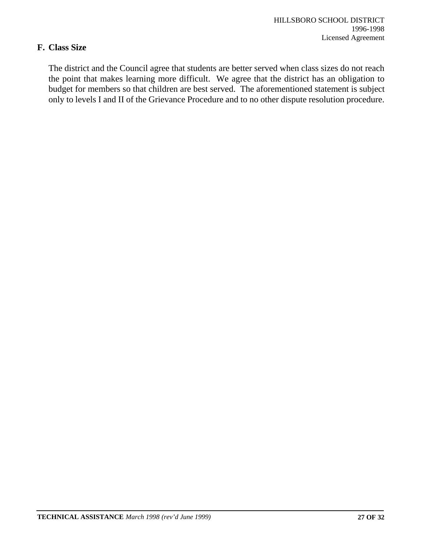### **F. Class Size**

The district and the Council agree that students are better served when class sizes do not reach the point that makes learning more difficult. We agree that the district has an obligation to budget for members so that children are best served. The aforementioned statement is subject only to levels I and II of the Grievance Procedure and to no other dispute resolution procedure.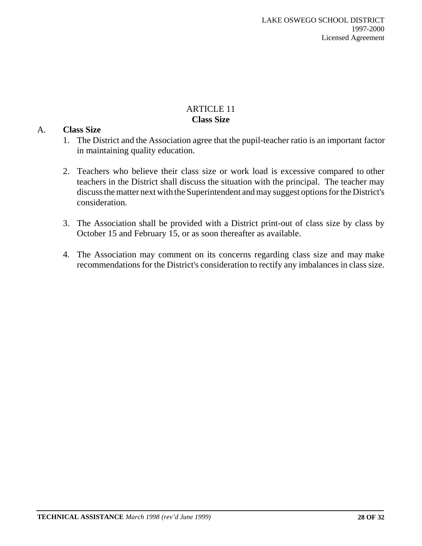# ARTICLE 11 **Class Size**

### A. **Class Size**

- 1. The District and the Association agree that the pupil-teacher ratio is an important factor in maintaining quality education.
- 2. Teachers who believe their class size or work load is excessive compared to other teachers in the District shall discuss the situation with the principal. The teacher may discuss the matter next with the Superintendent and may suggest options for the District's consideration.
- 3. The Association shall be provided with a District print-out of class size by class by October 15 and February 15, or as soon thereafter as available.
- 4. The Association may comment on its concerns regarding class size and may make recommendations for the District's consideration to rectify any imbalances in class size.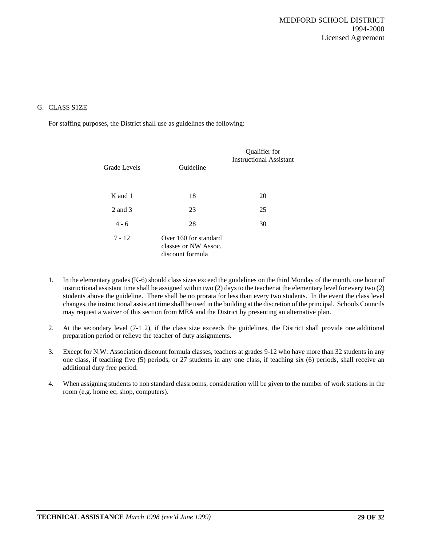#### G. CLASS S1ZE

For staffing purposes, the District shall use as guidelines the following:

| Grade Levels | Guideline                                                         | Qualifier for<br><b>Instructional Assistant</b> |
|--------------|-------------------------------------------------------------------|-------------------------------------------------|
| K and 1      | 18                                                                | 20                                              |
| 2 and 3      | 23                                                                | 25                                              |
| $4 - 6$      | 28                                                                | 30                                              |
| $7 - 12$     | Over 160 for standard<br>classes or NW Assoc.<br>discount formula |                                                 |

- 1. In the elementary grades (K-6) should class sizes exceed the guidelines on the third Monday of the month, one hour of instructional assistant time shall be assigned within two (2) days to the teacher at the elementary level for every two (2) students above the guideline. There shall be no prorata for less than every two students. In the event the class level changes, the instructional assistant time shall be used in the building at the discretion of the principal. Schools Councils may request a waiver of this section from MEA and the District by presenting an alternative plan.
- 2. At the secondary level (7-1 2), if the class size exceeds the guidelines, the District shall provide one additional preparation period or relieve the teacher of duty assignments.
- 3. Except for N.W. Association discount formula classes, teachers at grades 9-12 who have more than 32 students in any one class, if teaching five (5) periods, or 27 students in any one class, if teaching six (6) periods, shall receive an additional duty free period.
- 4. When assigning students to non standard classrooms, consideration will be given to the number of work stations in the room (e.g. home ec, shop, computers).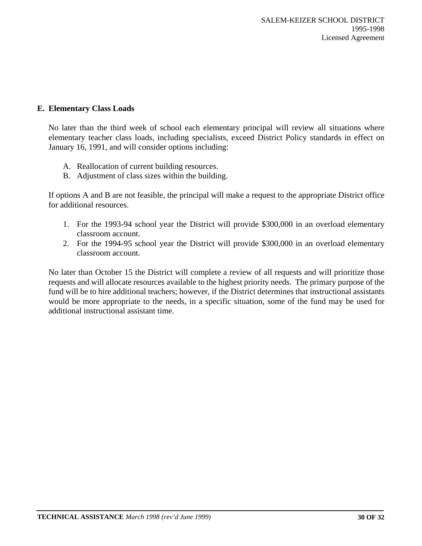#### **E. Elementary Class Loads**

No later than the third week of school each elementary principal will review all situations where elementary teacher class loads, including specialists, exceed District Policy standards in effect on January 16, 1991, and will consider options including:

- A. Reallocation of current building resources.
- B. Adjustment of class sizes within the building.

If options A and B are not feasible, the principal will make a request to the appropriate District office for additional resources.

- 1. For the 1993-94 school year the District will provide \$300,000 in an overload elementary classroom account.
- 2. For the 1994-95 school year the District will provide \$300,000 in an overload elementary classroom account.

No later than October 15 the District will complete a review of all requests and will prioritize those requests and will allocate resources available to the highest priority needs. The primary purpose of the fund will be to hire additional teachers; however, if the District determines that instructional assistants would be more appropriate to the needs, in a specific situation, some of the fund may be used for additional instructional assistant time.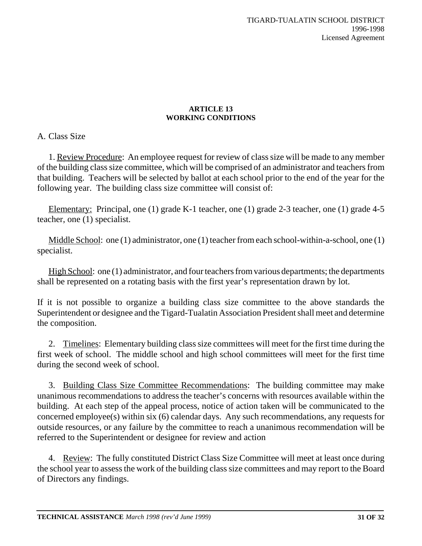#### **ARTICLE 13 WORKING CONDITIONS**

### A. Class Size

1. Review Procedure: An employee request for review of class size will be made to any member of the building class size committee, which will be comprised of an administrator and teachers from that building. Teachers will be selected by ballot at each school prior to the end of the year for the following year. The building class size committee will consist of:

Elementary: Principal, one (1) grade K-1 teacher, one (1) grade 2-3 teacher, one (1) grade 4-5 teacher, one (1) specialist.

Middle School: one (1) administrator, one (1) teacher from each school-within-a-school, one (1) specialist.

High School: one (1) administrator, and four teachers from various departments; the departments shall be represented on a rotating basis with the first year's representation drawn by lot.

If it is not possible to organize a building class size committee to the above standards the Superintendent or designee and the Tigard-Tualatin Association President shall meet and determine the composition.

2. Timelines: Elementary building class size committees will meet for the first time during the first week of school. The middle school and high school committees will meet for the first time during the second week of school.

3. Building Class Size Committee Recommendations: The building committee may make unanimous recommendations to address the teacher's concerns with resources available within the building. At each step of the appeal process, notice of action taken will be communicated to the concerned employee(s) within six (6) calendar days. Any such recommendations, any requests for outside resources, or any failure by the committee to reach a unanimous recommendation will be referred to the Superintendent or designee for review and action

4. Review: The fully constituted District Class Size Committee will meet at least once during the school year to assess the work of the building class size committees and may report to the Board of Directors any findings.